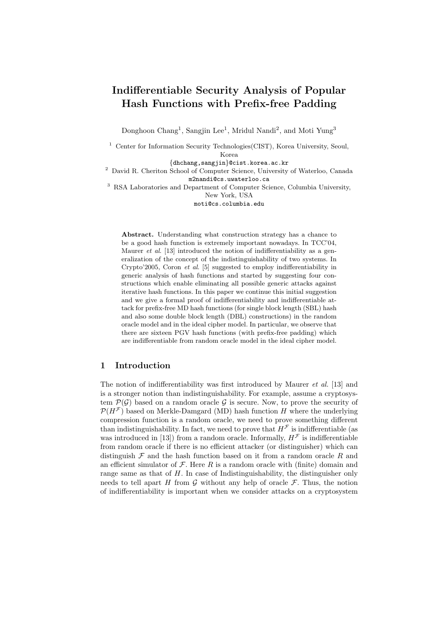# Indifferentiable Security Analysis of Popular Hash Functions with Prefix-free Padding

Donghoon Chang<sup>1</sup>, Sangjin Lee<sup>1</sup>, Mridul Nandi<sup>2</sup>, and Moti Yung<sup>3</sup>

<sup>1</sup> Center for Information Security Technologies(CIST), Korea University, Seoul, Korea

{dhchang,sangjin}@cist.korea.ac.kr

<sup>2</sup> David R. Cheriton School of Computer Science, University of Waterloo, Canada m2nandi@cs.uwaterloo.ca

<sup>3</sup> RSA Laboratories and Department of Computer Science, Columbia University, New York, USA

moti@cs.columbia.edu

Abstract. Understanding what construction strategy has a chance to be a good hash function is extremely important nowadays. In TCC'04, Maurer *et al.* [13] introduced the notion of indifferentiability as a generalization of the concept of the indistinguishability of two systems. In Crypto'2005, Coron et al. [5] suggested to employ indifferentiability in generic analysis of hash functions and started by suggesting four constructions which enable eliminating all possible generic attacks against iterative hash functions. In this paper we continue this initial suggestion and we give a formal proof of indifferentiability and indifferentiable attack for prefix-free MD hash functions (for single block length (SBL) hash and also some double block length (DBL) constructions) in the random oracle model and in the ideal cipher model. In particular, we observe that there are sixteen PGV hash functions (with prefix-free padding) which are indifferentiable from random oracle model in the ideal cipher model.

## 1 Introduction

The notion of indifferentiability was first introduced by Maurer *et al.* [13] and is a stronger notion than indistinguishability. For example, assume a cryptosystem  $\mathcal{P}(\mathcal{G})$  based on a random oracle  $\mathcal{G}$  is secure. Now, to prove the security of  $\mathcal{P}(H^{\mathcal{F}})$  based on Merkle-Damgard (MD) hash function H where the underlying compression function is a random oracle, we need to prove something different than indistinguishability. In fact, we need to prove that  $H^{\mathcal{F}}$  is indifferentiable (as was introduced in [13]) from a random oracle. Informally,  $H^{\mathcal{F}}$  is indifferentiable from random oracle if there is no efficient attacker (or distinguisher) which can distinguish  $\mathcal F$  and the hash function based on it from a random oracle R and an efficient simulator of  $\mathcal F$ . Here  $R$  is a random oracle with (finite) domain and range same as that of H. In case of Indistinguishability, the distinguisher only needs to tell apart H from G without any help of oracle  $\mathcal{F}$ . Thus, the notion of indifferentiability is important when we consider attacks on a cryptosystem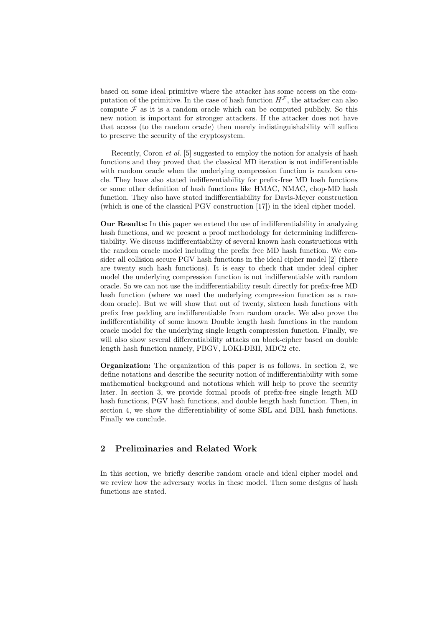based on some ideal primitive where the attacker has some access on the computation of the primitive. In the case of hash function  $H^{\mathcal{F}}$ , the attacker can also compute  $\mathcal F$  as it is a random oracle which can be computed publicly. So this new notion is important for stronger attackers. If the attacker does not have that access (to the random oracle) then merely indistinguishability will suffice to preserve the security of the cryptosystem.

Recently, Coron et al. [5] suggested to employ the notion for analysis of hash functions and they proved that the classical MD iteration is not indifferentiable with random oracle when the underlying compression function is random oracle. They have also stated indifferentiability for prefix-free MD hash functions or some other definition of hash functions like HMAC, NMAC, chop-MD hash function. They also have stated indifferentiability for Davis-Meyer construction (which is one of the classical PGV construction [17]) in the ideal cipher model.

Our Results: In this paper we extend the use of indifferentiability in analyzing hash functions, and we present a proof methodology for determining indifferentiability. We discuss indifferentiability of several known hash constructions with the random oracle model including the prefix free MD hash function. We consider all collision secure PGV hash functions in the ideal cipher model [2] (there are twenty such hash functions). It is easy to check that under ideal cipher model the underlying compression function is not indifferentiable with random oracle. So we can not use the indifferentiability result directly for prefix-free MD hash function (where we need the underlying compression function as a random oracle). But we will show that out of twenty, sixteen hash functions with prefix free padding are indifferentiable from random oracle. We also prove the indifferentiability of some known Double length hash functions in the random oracle model for the underlying single length compression function. Finally, we will also show several differentiability attacks on block-cipher based on double length hash function namely, PBGV, LOKI-DBH, MDC2 etc.

Organization: The organization of this paper is as follows. In section 2, we define notations and describe the security notion of indifferentiability with some mathematical background and notations which will help to prove the security later. In section 3, we provide formal proofs of prefix-free single length MD hash functions, PGV hash functions, and double length hash function. Then, in section 4, we show the differentiability of some SBL and DBL hash functions. Finally we conclude.

## 2 Preliminaries and Related Work

In this section, we briefly describe random oracle and ideal cipher model and we review how the adversary works in these model. Then some designs of hash functions are stated.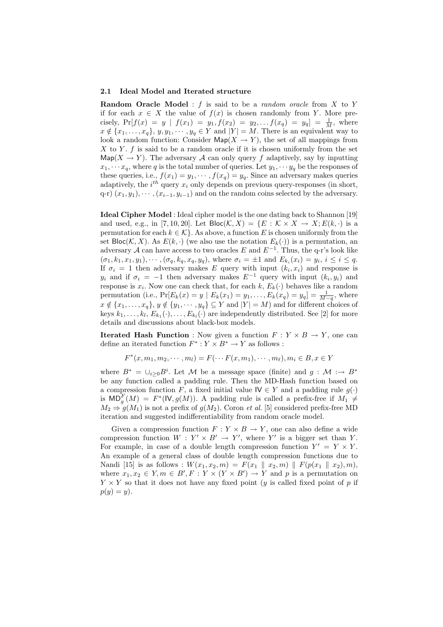#### 2.1 Ideal Model and Iterated structure

**Random Oracle Model**: f is said to be a *random oracle* from  $X$  to Y if for each  $x \in X$  the value of  $f(x)$  is chosen randomly from Y. More precisely,  $Pr[f(x) = y | f(x_1) = y_1, f(x_2) = y_2, \ldots, f(x_q) = y_q] = \frac{1}{M}$ , where  $x \notin \{x_1, \ldots, x_q\}, y, y_1, \cdots, y_q \in Y$  and  $|Y| = M$ . There is an equivalent way to look a random function: Consider  $\mathsf{Map}(X \to Y)$ , the set of all mappings from X to Y.  $f$  is said to be a random oracle if it is chosen uniformly from the set Map( $X \to Y$ ). The adversary A can only query f adaptively, say by inputting  $x_1, \dots, x_q$ , where q is the total number of queries. Let  $y_1, \dots, y_q$  be the responses of these queries, i.e.,  $f(x_1) = y_1, \dots, f(x_q) = y_q$ . Since an adversary makes queries adaptively, the  $i^{th}$  query  $x_i$  only depends on previous query-responses (in short,  $(q-r)$   $(x_1, y_1), \cdots, (x_{i-1}, y_{i-1})$  and on the random coins selected by the adversary.

Ideal Cipher Model : Ideal cipher model is the one dating back to Shannon [19] and used, e.g., in [7, 10, 20]. Let  $\text{Bloc}(\mathcal{K}, X) = \{E : \mathcal{K} \times X \to X; E(k, \cdot) \text{ is a }$ permutation for each  $k \in \mathcal{K}$ . As above, a function E is chosen uniformly from the set  $\text{Bloc}(\mathcal{K}, X)$ . As  $E(k, \cdot)$  (we also use the notation  $E_k(\cdot)$ ) is a permutation, an adversary A can have access to two oracles E and  $E^{-1}$ . Thus, the q-r's look like  $(\sigma_1, k_1, x_1, y_1), \cdots, (\sigma_q, k_q, x_q, y_q),$  where  $\sigma_i = \pm 1$  and  $E_{k_i}(x_i) = y_i, i \leq i \leq q$ . If  $\sigma_i = 1$  then adversary makes E query with input  $(k_i, x_i)$  and response is  $y_i$  and if  $\sigma_i = -1$  then adversary makes  $E^{-1}$  query with input  $(k_i, y_i)$  and response is  $x_i$ . Now one can check that, for each  $k, E_k(\cdot)$  behaves like a random permutation (i.e.,  $Pr[E_k(x) = y | E_k(x_1) = y_1, \ldots, E_k(x_q) = y_q] = \frac{1}{M-q}$ , where  $x \notin \{x_1, \ldots, x_q\}, y \notin \{y_1, \cdots, y_q\} \subseteq Y$  and  $|Y| = M$ ) and for different choices of keys  $k_1, \ldots, k_l, E_{k_1}(\cdot), \ldots, E_{k_l}(\cdot)$  are independently distributed. See [2] for more details and discussions about black-box models.

**Iterated Hash Function** : Now given a function  $F: Y \times B \rightarrow Y$ , one can define an iterated function  $F^* : Y \times B^* \to Y$  as follows :

$$
F^*(x, m_1, m_2, \cdots, m_l) = F(\cdots F(x, m_1), \cdots, m_\ell), m_i \in B, x \in Y
$$

where  $B^* = \bigcup_{i \geq 0} B^i$ . Let M be a message space (finite) and  $g : \mathcal{M} : \to B^*$ be any function called a padding rule. Then the MD-Hash function based on a compression function F, a fixed initial value  $\mathsf{IV} \in Y$  and a padding rule  $g(\cdot)$ is  $MD_{g}^{F}(M) = F^{*}(W, g(M))$ . A padding rule is called a prefix-free if  $M_{1} \neq$  $M_2 \Rightarrow g(M_1)$  is not a prefix of  $g(M_2)$ . Coron *et al.* [5] considered prefix-free MD iteration and suggested indifferentiability from random oracle model.

Given a compression function  $F: Y \times B \to Y$ , one can also define a wide compression function  $W: Y' \times B' \rightarrow Y'$ , where Y' is a bigger set than Y. For example, in case of a double length compression function  $Y' = Y \times Y$ . An example of a general class of double length compression functions due to Nandi [15] is as follows :  $W(x_1, x_2, m) = F(x_1 \| x_2, m) \| F(p(x_1 \| x_2), m),$ where  $x_1, x_2 \in Y, m \in B', F : Y \times (Y \times B') \to Y$  and p is a permutation on  $Y \times Y$  so that it does not have any fixed point (y is called fixed point of p if  $p(y) = y$ .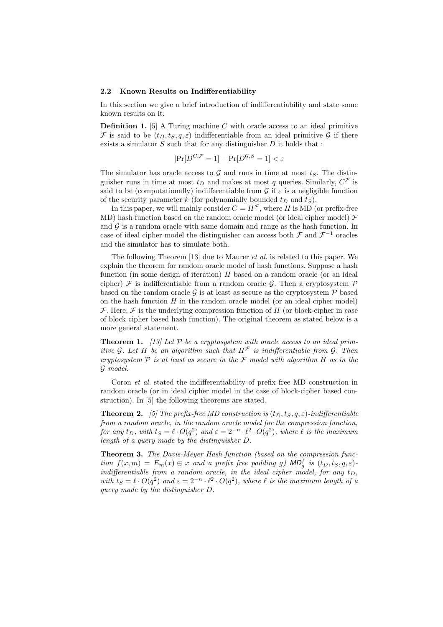#### 2.2 Known Results on Indifferentiability

In this section we give a brief introduction of indifferentiability and state some known results on it.

**Definition 1.** [5] A Turing machine  $C$  with oracle access to an ideal primitive F is said to be  $(t_D, t_S, q, \varepsilon)$  indifferentiable from an ideal primitive G if there exists a simulator  $S$  such that for any distinguisher  $D$  it holds that :

$$
|\Pr[D^{C,\mathcal{F}}=1]-\Pr[D^{\mathcal{G},S}=1]<\varepsilon
$$

The simulator has oracle access to G and runs in time at most  $t<sub>S</sub>$ . The distinguisher runs in time at most  $t_D$  and makes at most q queries. Similarly,  $C^{\mathcal{F}}$  is said to be (computationally) indifferentiable from  $\mathcal G$  if  $\varepsilon$  is a negligible function of the security parameter k (for polynomially bounded  $t_D$  and  $t_S$ ).

In this paper, we will mainly consider  $C = H^{\mathcal{F}}$ , where H is MD (or prefix-free MD) hash function based on the random oracle model (or ideal cipher model)  $\mathcal F$ and  $G$  is a random oracle with same domain and range as the hash function. In case of ideal cipher model the distinguisher can access both  $\mathcal F$  and  $\mathcal F^{-1}$  oracles and the simulator has to simulate both.

The following Theorem [13] due to Maurer et al. is related to this paper. We explain the theorem for random oracle model of hash functions. Suppose a hash function (in some design of iteration)  $H$  based on a random oracle (or an ideal cipher)  $\mathcal F$  is indifferentiable from a random oracle G. Then a cryptosystem  $\mathcal P$ based on the random oracle G is at least as secure as the cryptosystem  $\mathcal P$  based on the hash function  $H$  in the random oracle model (or an ideal cipher model) F. Here, F is the underlying compression function of H (or block-cipher in case of block cipher based hash function). The original theorem as stated below is a more general statement.

**Theorem 1.** [13] Let  $P$  be a cryptosystem with oracle access to an ideal primitive G. Let H be an algorithm such that  $H^{\mathcal{F}}$  is indifferentiable from G. Then cryptosystem  $P$  is at least as secure in the  $\mathcal F$  model with algorithm  $H$  as in the G model.

Coron et al. stated the indifferentiability of prefix free MD construction in random oracle (or in ideal cipher model in the case of block-cipher based construction). In [5] the following theorems are stated.

**Theorem 2.** [5] The prefix-free MD construction is  $(t_D, t_S, q, \varepsilon)$ -indifferentiable from a random oracle, in the random oracle model for the compression function, for any  $t_D$ , with  $t_S = \ell \cdot O(q^2)$  and  $\varepsilon = 2^{-n} \cdot \ell^2 \cdot O(q^2)$ , where  $\ell$  is the maximum length of a query made by the distinguisher D.

Theorem 3. The Davis-Meyer Hash function (based on the compression function  $f(x,m) = E_m(x) \oplus x$  and a prefix free padding g) MD<sub>g</sub> is  $(t_D, t_S, q, \varepsilon)$ indifferentiable from a random oracle, in the ideal cipher model, for any  $t_D$ , with  $t_S = \ell \cdot O(q^2)$  and  $\varepsilon = 2^{-n} \cdot \ell^2 \cdot O(q^2)$ , where  $\ell$  is the maximum length of a query made by the distinguisher D.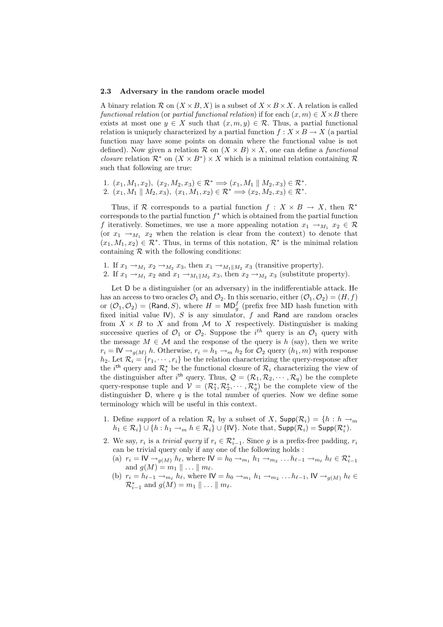#### 2.3 Adversary in the random oracle model

A binary relation  $\mathcal{R}$  on  $(X \times B, X)$  is a subset of  $X \times B \times X$ . A relation is called functional relation (or partial functional relation) if for each  $(x, m) \in X \times B$  there exists at most one  $y \in X$  such that  $(x, m, y) \in \mathcal{R}$ . Thus, a partial functional relation is uniquely characterized by a partial function  $f: X \times B \to X$  (a partial function may have some points on domain where the functional value is not defined). Now given a relation  $\mathcal{R}$  on  $(X \times B) \times X$ , one can define a *functional closure* relation  $\mathcal{R}^*$  on  $(X \times B^*) \times X$  which is a minimal relation containing  $\mathcal{R}$ such that following are true:

1.  $(x_1, M_1, x_2), (x_2, M_2, x_3) \in \mathcal{R}^* \Longrightarrow (x_1, M_1 \parallel M_2, x_3) \in \mathcal{R}^*$ . 2.  $(x_1, M_1 \parallel M_2, x_3), (x_1, M_1, x_2) \in \mathcal{R}^* \Longrightarrow (x_2, M_2, x_3) \in \mathcal{R}^*.$ 

Thus, if R corresponds to a partial function  $f : X \times B \to X$ , then  $\mathbb{R}^*$ corresponds to the partial function  $f^*$  which is obtained from the partial function f iteratively. Sometimes, we use a more appealing notation  $x_1 \rightarrow_{M_1} x_2 \in \mathcal{R}$ (or  $x_1 \rightarrow_{M_1} x_2$  when the relation is clear from the context) to denote that  $(x_1, M_1, x_2) \in \mathcal{R}^*$ . Thus, in terms of this notation,  $\mathcal{R}^*$  is the minimal relation containing  $R$  with the following conditions:

- 1. If  $x_1 \rightarrow_{M_1} x_2 \rightarrow_{M_2} x_3$ , then  $x_1 \rightarrow_{M_1 \parallel M_2} x_3$  (transitive property).
- 2. If  $x_1 \rightarrow_{M_1} x_2$  and  $x_1 \rightarrow_{M_1 \parallel M_2} x_3$ , then  $x_2 \rightarrow_{M_2} x_3$  (substitute property).

Let D be a distinguisher (or an adversary) in the indifferentiable attack. He has an access to two oracles  $\mathcal{O}_1$  and  $\mathcal{O}_2$ . In this scenario, either  $(\mathcal{O}_1, \mathcal{O}_2) = (H, f)$ or  $(\mathcal{O}_1, \mathcal{O}_2)$  = (Rand, S), where  $H = \mathsf{MD}^f_g$  (prefix free MD hash function with fixed initial value IV), S is any simulator, f and Rand are random oracles from  $X \times B$  to X and from M to X respectively. Distinguisher is making successive queries of  $\mathcal{O}_1$  or  $\mathcal{O}_2$ . Suppose the i<sup>th</sup> query is an  $\mathcal{O}_1$  query with the message  $M \in \mathcal{M}$  and the response of the query is h (say), then we write  $r_i = \mathsf{IV} \rightarrow_{g(M)} h$ . Otherwise,  $r_i = h_1 \rightarrow_m h_2$  for  $\mathcal{O}_2$  query  $(h_1, m)$  with response  $h_2$ . Let  $\mathcal{R}_i = \{r_1, \dots, r_i\}$  be the relation characterizing the query-response after the *i*<sup>th</sup> query and  $\mathcal{R}_i^*$  be the functional closure of  $\mathcal{R}_i$  characterizing the view of the distinguisher after i<sup>th</sup> query. Thus,  $\mathcal{Q} = (\mathcal{R}_1, \mathcal{R}_2, \cdots, \mathcal{R}_q)$  be the complete query-response tuple and  $V = (\mathcal{R}_1^*, \mathcal{R}_2^*, \cdots, \mathcal{R}_q^*)$  be the complete view of the distinguisher D, where q is the total number of queries. Now we define some terminology which will be useful in this context.

- 1. Define support of a relation  $\mathcal{R}_i$  by a subset of X,  $\mathsf{Supp}(\mathcal{R}_i) = \{h : h \to_m\}$  $h_1 \in \mathcal{R}_i$   $\cup$   $\{h : h_1 \rightarrow_m h \in \mathcal{R}_i\}$   $\cup$   $\{W\}$ . Note that,  $\mathsf{Supp}(\mathcal{R}_i) = \mathsf{Supp}(\mathcal{R}_i^*)$ .
- 2. We say,  $r_i$  is a *trivial query* if  $r_i \in \mathcal{R}_{i-1}^*$ . Since g is a prefix-free padding,  $r_i$ can be trivial query only if any one of the following holds :
	- (a)  $r_i = \mathsf{IV} \rightarrow_{g(M)} h_\ell$ , where  $\mathsf{IV} = h_0 \rightarrow_{m_1} h_1 \rightarrow_{m_2} \ldots h_{\ell-1} \rightarrow_{m_\ell} h_\ell \in \mathcal{R}_{i-1}^*$ and  $g(M) = m_1 \parallel \ldots \parallel m_\ell$ .
	- (b)  $r_i = h_{\ell-1} \rightarrow_{m_\ell} h_\ell$ , where  $\mathsf{IV} = h_0 \rightarrow_{m_1} h_1 \rightarrow_{m_2} \ldots h_{\ell-1}$ ,  $\mathsf{IV} \rightarrow_{g(M)} h_\ell \in$  $\mathcal{R}_{i-1}^*$  and  $g(M) = m_1 \parallel \ldots \parallel m_\ell$ .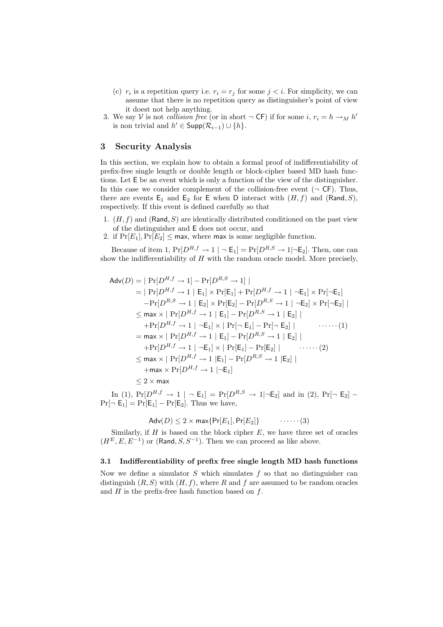- (c)  $r_i$  is a repetition query i.e.  $r_i = r_j$  for some  $j < i$ . For simplicity, we can assume that there is no repetition query as distinguisher's point of view it doest not help anything.
- 3. We say V is not *collision free* (or in short  $\neg$  CF) if for some i,  $r_i = h \rightarrow_M h'$ is non trivial and  $h' \in \text{Supp}(\mathcal{R}_{i-1}) \cup \{h\}.$

# 3 Security Analysis

In this section, we explain how to obtain a formal proof of indifferentiability of prefix-free single length or double length or block-cipher based MD hash functions. Let E be an event which is only a function of the view of the distinguisher. In this case we consider complement of the collision-free event  $(\neg \mathsf{CF})$ . Thus, there are events  $E_1$  and  $E_2$  for E when D interact with  $(H, f)$  and  $(Rand, S)$ , respectively. If this event is defined carefully so that

- 1.  $(H, f)$  and (Rand, S) are identically distributed conditioned on the past view of the distinguisher and E does not occur, and
- 2. if  $Pr[E_1], Pr[E_2] \leq \text{max}$ , where max is some negligible function.

Because of item 1,  $Pr[D^{H,f} \to 1 \mid \neg E_1] = Pr[D^{R,S} \to 1 \mid \neg E_2]$ . Then, one can show the indifferentiability of  $H$  with the random oracle model. More precisely,

$$
Adv(D) = | Pr[D^{H,f} \rightarrow 1] - Pr[D^{R,S} \rightarrow 1] |
$$
  
\n
$$
= | Pr[D^{H,f} \rightarrow 1 | E_1] \times Pr[E_1] + Pr[D^{H,f} \rightarrow 1 | \neg E_1] \times Pr[\neg E_1]
$$
  
\n
$$
-Pr[D^{R,S} \rightarrow 1 | E_2] \times Pr[E_2] - Pr[D^{R,S} \rightarrow 1 | \neg E_2] \times Pr[\neg E_2] |
$$
  
\n
$$
\leq \max \times | Pr[D^{H,f} \rightarrow 1 | E_1] - Pr[D^{R,S} \rightarrow 1 | E_2] |
$$
  
\n
$$
+ Pr[D^{H,f} \rightarrow 1 | \neg E_1] \times | Pr[\neg E_1] - Pr[\neg E_2] |
$$
  
\n
$$
= \max \times | Pr[D^{H,f} \rightarrow 1 | E_1] - Pr[D^{R,S} \rightarrow 1 | E_2] |
$$
  
\n
$$
+ Pr[D^{H,f} \rightarrow 1 | \neg E_1] \times | Pr[E_1] - Pr[E_2] |
$$
  
\n
$$
\leq \max \times | Pr[D^{H,f} \rightarrow 1 | E_1] - Pr[D^{R,S} \rightarrow 1 | E_2] |
$$
  
\n
$$
+ \max \times Pr[D^{H,f} \rightarrow 1 | E_1] - Pr[D^{R,S} \rightarrow 1 | E_2] |
$$
  
\n
$$
\leq 2 \times \max
$$

In (1),  $Pr[D^{H,f} \to 1 \mid \neg E_1] = Pr[D^{R,S} \to 1 \mid \neg E_2]$  and in (2),  $Pr[\neg E_2]$  –  $Pr[\neg E_1] = Pr[E_1] - Pr[E_2]$ . Thus we have,

$$
Adv(D) \le 2 \times max\{Pr[E_1], Pr[E_2]\} \qquad \qquad \cdots \cdots (3)
$$

Similarly, if  $H$  is based on the block cipher  $E$ , we have three set of oracles  $(H^E, E, E^{-1})$  or (Rand,  $S, S^{-1}$ ). Then we can proceed as like above.

### 3.1 Indifferentiability of prefix free single length MD hash functions

Now we define a simulator  $S$  which simulates  $f$  so that no distinguisher can distinguish  $(R, S)$  with  $(H, f)$ , where R and f are assumed to be random oracles and  $H$  is the prefix-free hash function based on  $f$ .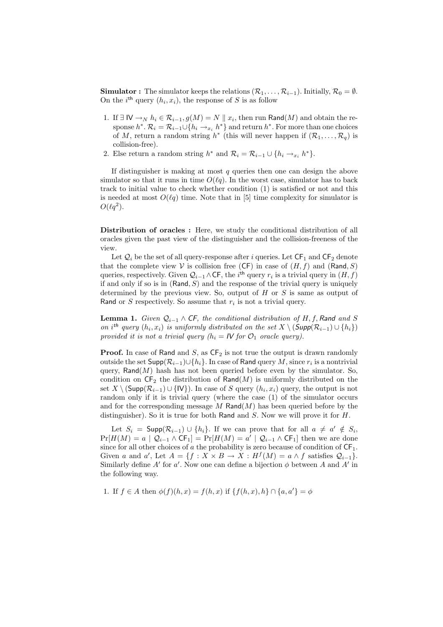**Simulator :** The simulator keeps the relations  $(\mathcal{R}_1, \ldots, \mathcal{R}_{i-1})$ . Initially,  $\mathcal{R}_0 = \emptyset$ . On the  $i^{\text{th}}$  query  $(h_i, x_i)$ , the response of S is as follow

- 1. If ∃ IV  $\rightarrow_N h_i \in \mathcal{R}_{i-1}, g(M) = N \parallel x_i$ , then run Rand(M) and obtain the response  $h^*$ .  $\mathcal{R}_i = \mathcal{R}_{i-1} \cup \{h_i \to x_i, h^*\}$  and return  $h^*$ . For more than one choices of M, return a random string  $h^*$  (this will never happen if  $(\mathcal{R}_1, \ldots, \mathcal{R}_q)$  is collision-free).
- 2. Else return a random string  $h^*$  and  $\mathcal{R}_i = \mathcal{R}_{i-1} \cup \{h_i \to_{x_i} h^*\}.$

If distinguisher is making at most  $q$  queries then one can design the above simulator so that it runs in time  $O(\ell q)$ . In the worst case, simulator has to back track to initial value to check whether condition (1) is satisfied or not and this is needed at most  $O(\ell q)$  time. Note that in [5] time complexity for simulator is  $O(\ell q^2)$ .

Distribution of oracles : Here, we study the conditional distribution of all oracles given the past view of the distinguisher and the collision-freeness of the view.

Let  $\mathcal{Q}_i$  be the set of all query-response after i queries. Let  $\mathsf{CF}_1$  and  $\mathsf{CF}_2$  denote that the complete view V is collision free (CF) in case of  $(H, f)$  and  $(Rand, S)$ queries, respectively. Given  $\mathcal{Q}_{i-1} \wedge \mathsf{CF}$ , the i<sup>th</sup> query  $r_i$  is a trivial query in  $(H, f)$ if and only if so is in  $(Rand, S)$  and the response of the trivial query is uniquely determined by the previous view. So, output of  $H$  or  $S$  is same as output of Rand or  $S$  respectively. So assume that  $r_i$  is not a trivial query.

**Lemma 1.** Given  $\mathcal{Q}_{i-1} \wedge \mathsf{CF}$ , the conditional distribution of H, f, Rand and S on i<sup>th</sup> query  $(h_i, x_i)$  is uniformly distributed on the set  $X \setminus (\textsf{Supp}(\mathcal{R}_{i-1}) \cup \{h_i\})$ provided it is not a trivial query  $(h_i = IV$  for  $\mathcal{O}_1$  oracle query).

**Proof.** In case of Rand and  $S$ , as  $CF_2$  is not true the output is drawn randomly outside the set  $\mathsf{Supp}(\mathcal{R}_{i-1})\!\cup\!\{h_i\}.$  In case of <code>Rand</code> query  $M,$  since  $r_i$  is a nontrivial query,  $\mathsf{Rand}(M)$  hash has not been queried before even by the simulator. So, condition on  $\mathsf{CF}_2$  the distribution of  $\mathsf{Rand}(M)$  is uniformly distributed on the set  $X \setminus (\mathsf{Supp}(\mathcal{R}_{i-1}) \cup \{IV\})$ . In case of S query  $(h_i, x_i)$  query, the output is not random only if it is trivial query (where the case (1) of the simulator occurs and for the corresponding message  $M$  Rand $(M)$  has been queried before by the distinguisher). So it is true for both Rand and  $S$ . Now we will prove it for  $H$ .

Let  $S_i = \textsf{Supp}(\mathcal{R}_{i-1}) \cup \{h_i\}$ . If we can prove that for all  $a \neq a' \notin S_i$ ,  $Pr[H(M) = a | Q_{i-1} \wedge CF_1] = Pr[H(M) = a' | Q_{i-1} \wedge CF_1]$  then we are done since for all other choices of a the probability is zero because of condition of  $CF_1$ . Given a and a', Let  $A = \{f : X \times B \to X : H^f(M) = a \wedge f \text{ satisfies } \mathcal{Q}_{i-1}\}.$ Similarly define A' for a'. Now one can define a bijection  $\phi$  between A and A' in the following way.

1. If  $f \in A$  then  $\phi(f)(h, x) = f(h, x)$  if  $\{f(h, x), h\} \cap \{a, a'\} = \phi$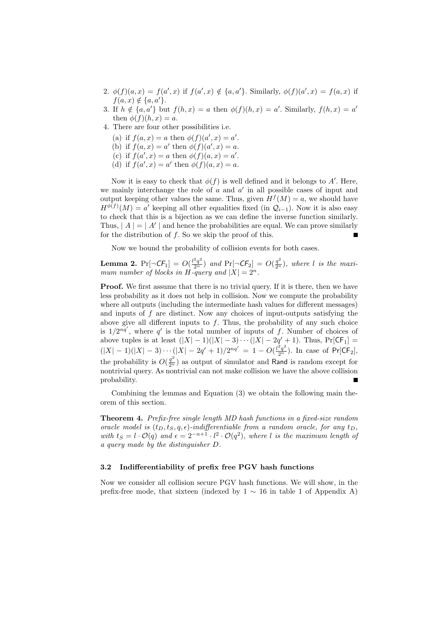- 2.  $\phi(f)(a,x) = f(a',x)$  if  $f(a',x) \notin \{a,a'\}$ . Similarly,  $\phi(f)(a',x) = f(a,x)$  if  $f(a, x) \notin \{a, a'\}.$
- 3. If  $h \notin \{a, a'\}$  but  $f(h, x) = a$  then  $\phi(f)(h, x) = a'$ . Similarly,  $f(h, x) = a'$ then  $\phi(f)(h, x) = a$ .
- 4. There are four other possibilities i.e.
	- (a) if  $f(a, x) = a$  then  $\phi(f)(a', x) = a'$ .
	- (b) if  $f(a, x) = a'$  then  $\phi(f)(a', x) = a$ .
	- (c) if  $f(a', x) = a$  then  $\phi(f)(a, x) = a'$ .
	- (d) if  $f(a', x) = a'$  then  $\phi(f)(a, x) = a$ .

Now it is easy to check that  $\phi(f)$  is well defined and it belongs to A'. Here, we mainly interchange the role of  $a$  and  $a'$  in all possible cases of input and output keeping other values the same. Thus, given  $H^f(M) = a$ , we should have  $H^{\phi(f)}(M) = a'$  keeping all other equalities fixed (in  $\mathcal{Q}_{i-1}$ ). Now it is also easy to check that this is a bijection as we can define the inverse function similarly. Thus,  $|A| = |A'|$  and hence the probabilities are equal. We can prove similarly for the distribution of  $f$ . So we skip the proof of this. п

Now we bound the probability of collision events for both cases.

**Lemma 2.**  $Pr[\neg \mathsf{CF}_1] = O(\frac{l^2q^2}{2^n})$  and  $Pr[\neg \mathsf{CF}_2] = O(\frac{q^2}{2^n})$ , where l is the maximum number of blocks in H-query and  $|X| = 2^n$ .

Proof. We first assume that there is no trivial query. If it is there, then we have less probability as it does not help in collision. Now we compute the probability where all outputs (including the intermediate hash values for different messages) and inputs of  $f$  are distinct. Now any choices of input-outputs satisfying the above give all different inputs to  $f$ . Thus, the probability of any such choice is  $1/2^{nq'}$ , where q' is the total number of inputs of f. Number of choices of above tuples is at least  $(|X| - 1)(|X| - 3) \cdots (|X| - 2q' + 1)$ . Thus,  $Pr[CF_1] =$  $(|X|-1)(|X|-3)\cdots(|X|-2q'+1)/2^{nq'}=1-O(\frac{l^2q^2}{2^n})$ . In case of Pr[CF<sub>2</sub>], the probability is  $O(\frac{q^2}{2^n})$  as output of simulator and Rand is random except for nontrivial query. As nontrivial can not make collision we have the above collision probability.

Combining the lemmas and Equation (3) we obtain the following main theorem of this section.

Theorem 4. Prefix-free single length MD hash functions in a fixed-size random oracle model is  $(t_D, t_S, q, \epsilon)$ -indifferentiable from a random oracle, for any  $t_D$ , with  $t_S = l \cdot \mathcal{O}(q)$  and  $\epsilon = 2^{-n+1} \cdot l^2 \cdot \mathcal{O}(q^2)$ , where l is the maximum length of a query made by the distinguisher D.

### 3.2 Indifferentiability of prefix free PGV hash functions

Now we consider all collision secure PGV hash functions. We will show, in the prefix-free mode, that sixteen (indexed by  $1 \sim 16$  in table 1 of Appendix A)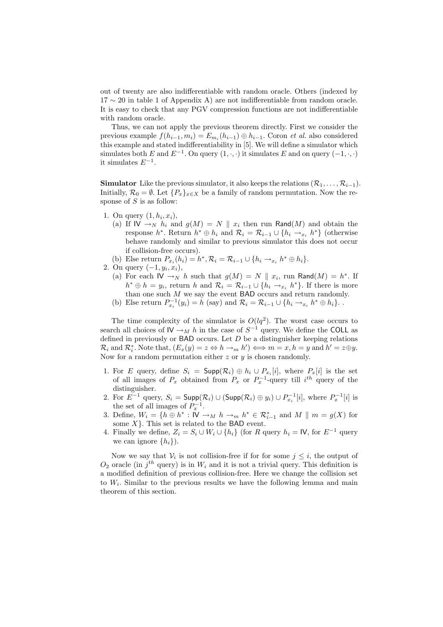out of twenty are also indifferentiable with random oracle. Others (indexed by 17 ∼ 20 in table 1 of Appendix A) are not indifferentiable from random oracle. It is easy to check that any PGV compression functions are not indifferentiable with random oracle.

Thus, we can not apply the previous theorem directly. First we consider the previous example  $f(h_{i-1}, m_i) = E_{m_i}(h_{i-1}) \oplus h_{i-1}$ . Coron *et al.* also considered this example and stated indifferentiability in [5]. We will define a simulator which simulates both E and  $E^{-1}$ . On query  $(1, \cdot, \cdot)$  it simulates E and on query  $(-1, \cdot, \cdot)$ it simulates  $E^{-1}$ .

**Simulator** Like the previous simulator, it also keeps the relations  $(\mathcal{R}_1, \ldots, \mathcal{R}_{i-1})$ . Initially,  $\mathcal{R}_0 = \emptyset$ . Let  $\{P_x\}_{x \in X}$  be a family of random permutation. Now the response of  $S$  is as follow:

- 1. On query  $(1, h_i, x_i)$ ,
	- (a) If  $\mathsf{IV} \to_{N} h_i$  and  $g(M) = N \parallel x_i$  then run Rand(M) and obtain the response  $h^*$ . Return  $h^* \oplus h_i$  and  $\mathcal{R}_i = \mathcal{R}_{i-1} \cup \{h_i \to_{x_i} h^*\}$  (otherwise behave randomly and similar to previous simulator this does not occur if collision-free occurs).
- (b) Else return  $P_{x_i}(h_i) = h^*, \mathcal{R}_i = \mathcal{R}_{i-1} \cup \{h_i \rightarrow_{x_i} h^* \oplus h_i\}.$
- 2. On query  $(-1, y_i, x_i)$ ,
	- (a) For each  $\mathsf{IV} \to_{N} h$  such that  $g(M) = N \parallel x_i$ , run Rand $(M) = h^*$ . If  $h^* \oplus h = y_i$ , return h and  $\mathcal{R}_i = \mathcal{R}_{i-1} \cup \{h_i \to x_i h^*\}$ . If there is more than one such  $M$  we say the event BAD occurs and return randomly.
	- (b) Else return  $P_{x_i}^{-1}(y_i) = h$  (say) and  $\mathcal{R}_i = \mathcal{R}_{i-1} \cup \{h_i \to_{x_i} h^* \oplus h_i\}$ .

The time complexity of the simulator is  $O(lq^2)$ . The worst case occurs to search all choices of  $\mathsf{IV} \to_M h$  in the case of  $S^{-1}$  query. We define the COLL as defined in previously or  $BAD$  occurs. Let  $D$  be a distinguisher keeping relations  $\mathcal{R}_i$  and  $\mathcal{R}_i^*$ . Note that,  $(E_x(y) = z \Leftrightarrow h \rightarrow_m h') \Longleftrightarrow m = x, h = y$  and  $h' = z \oplus y$ . Now for a random permutation either  $z$  or  $y$  is chosen randomly.

- 1. For E query, define  $S_i = \textsf{Supp}(\mathcal{R}_i) \oplus h_i \cup P_{x_i}[i]$ , where  $P_x[i]$  is the set of all images of  $P_x$  obtained from  $P_x$  or  $P_x^{-1}$ -query till  $i^{th}$  query of the distinguisher.
- 2. For  $E^{-1}$  query,  $S_i = \textsf{Supp}(\mathcal{R}_i) \cup (\textsf{Supp}(\mathcal{R}_i) \oplus y_i) \cup P_{x_i}^{-1}[i]$ , where  $P_x^{-1}[i]$  is the set of all images of  $P_x^{-1}$ .
- 3. Define,  $W_i = \{h \oplus h^* : \overline{W} \to_M h \to_m h^* \in \mathcal{R}_{i-1}^* \text{ and } M \parallel m = g(X) \text{ for }$ some  $X$ . This set is related to the BAD event.
- 4. Finally we define,  $Z_i = S_i \cup W_i \cup \{h_i\}$  (for R query  $h_i = \mathsf{IV}$ , for  $E^{-1}$  query we can ignore  $\{h_i\}$ ).

Now we say that  $V_i$  is not collision-free if for for some  $j \leq i$ , the output of  $O_2$  oracle (in  $j<sup>th</sup>$  query) is in  $W_i$  and it is not a trivial query. This definition is a modified definition of previous collision-free. Here we change the collision set to  $W_i$ . Similar to the previous results we have the following lemma and main theorem of this section.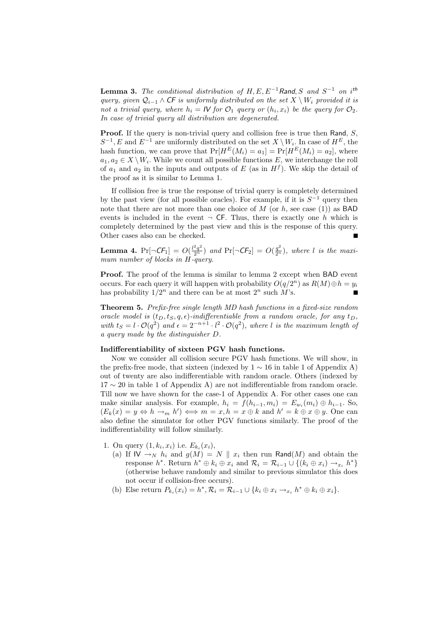**Lemma 3.** The conditional distribution of  $H, E, E^{-1}$ Rand, S and  $S^{-1}$  on i<sup>th</sup> query, given  $\mathcal{Q}_{i-1} \wedge \mathsf{CF}$  is uniformly distributed on the set  $X \setminus W_i$  provided it is not a trivial query, where  $h_i = I\mathcal{V}$  for  $\mathcal{O}_1$  query or  $(h_i, x_i)$  be the query for  $\mathcal{O}_2$ . In case of trivial query all distribution are degenerated.

**Proof.** If the query is non-trivial query and collision free is true then Rand,  $S$ ,  $S^{-1}, E$  and  $E^{-1}$  are uniformly distributed on the set  $X \setminus W_i$ . In case of  $H^E$ , the hash function, we can prove that  $Pr[H^E(M_i) = a_1] = Pr[H^E(M_i) = a_2]$ , where  $a_1, a_2 \in X \setminus W_i$ . While we count all possible functions E, we interchange the roll of  $a_1$  and  $a_2$  in the inputs and outputs of E (as in  $H<sup>f</sup>$ ). We skip the detail of the proof as it is similar to Lemma 1.

If collision free is true the response of trivial query is completely determined by the past view (for all possible oracles). For example, if it is  $S^{-1}$  query then note that there are not more than one choice of  $M$  (or  $h$ , see case (1)) as **BAD** events is included in the event  $\neg$  CF. Thus, there is exactly one h which is completely determined by the past view and this is the response of this query. Other cases also can be checked.  $\blacksquare$ 

**Lemma 4.**  $Pr[\neg \mathsf{CF}_1] = O(\frac{l^2q^2}{2^n})$  and  $Pr[\neg \mathsf{CF}_2] = O(\frac{q^2}{2^n})$ , where l is the maximum number of blocks in H-query.

Proof. The proof of the lemma is similar to lemma 2 except when BAD event occurs. For each query it will happen with probability  $O(q/2^n)$  as  $R(M) \oplus h = y_i$ has probability  $1/2^n$  and there can be at most  $2^n$  such M's. п

Theorem 5. Prefix-free single length MD hash functions in a fixed-size random oracle model is  $(t_D, t_S, q, \epsilon)$ -indifferentiable from a random oracle, for any  $t_D$ , with  $t_S = l \cdot \mathcal{O}(q^2)$  and  $\epsilon = 2^{-n+1} \cdot l^2 \cdot \mathcal{O}(q^2)$ , where l is the maximum length of a query made by the distinguisher D.

## Indifferentiability of sixteen PGV hash functions.

Now we consider all collision secure PGV hash functions. We will show, in the prefix-free mode, that sixteen (indexed by  $1 \sim 16$  in table 1 of Appendix A) out of twenty are also indifferentiable with random oracle. Others (indexed by  $17 \sim 20$  in table 1 of Appendix A) are not indifferentiable from random oracle. Till now we have shown for the case-1 of Appendix A. For other cases one can make similar analysis. For example,  $h_i = f(h_{i-1}, m_i) = E_{w_i}(m_i) \oplus h_{i-1}$ . So,  $(E_k(x) = y \Leftrightarrow h \rightarrow_m h') \Leftrightarrow m = x, h = x \oplus k \text{ and } h' = k \oplus x \oplus y.$  One can also define the simulator for other PGV functions similarly. The proof of the indifferentiability will follow similarly.

- 1. On query  $(1, k_i, x_i)$  i.e.  $E_{k_i}(x_i)$ ,
	- (a) If  $\mathsf{IV} \to_{N} h_i$  and  $g(M) = N \parallel x_i$  then run Rand(M) and obtain the response  $h^*$ . Return  $h^* \oplus k_i \oplus x_i$  and  $\mathcal{R}_i = \mathcal{R}_{i-1} \cup \{(k_i \oplus x_i) \rightarrow x_i} h^*\}$ (otherwise behave randomly and similar to previous simulator this does not occur if collision-free occurs).
	- (b) Else return  $P_{k_i}(x_i) = h^*, \mathcal{R}_i = \mathcal{R}_{i-1} \cup \{k_i \oplus x_i \rightarrow x_i h^* \oplus k_i \oplus x_i\}.$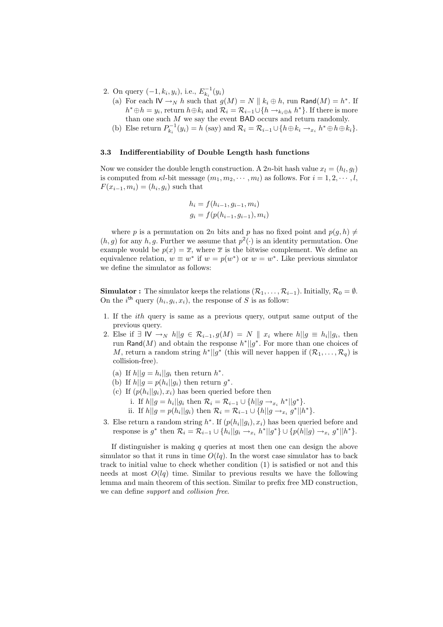- 2. On query  $(-1, k_i, y_i)$ , i.e.,  $E_{k_i}^{-1}(y_i)$ 
	- (a) For each  $\mathsf{IV} \to_N h$  such that  $g(M) = N \parallel k_i \oplus h$ , run Rand $(M) = h^*$ . If  $h^* \oplus h = y_i$ , return  $h \oplus k_i$  and  $\mathcal{R}_i = \mathcal{R}_{i-1} \cup \{h \to_{k_i \oplus h} h^*\}$ . If there is more than one such  $M$  we say the event  $BAD$  occurs and return randomly.
	- (b) Else return  $P_{k_i}^{-1}(y_i) = h$  (say) and  $\mathcal{R}_i = \mathcal{R}_{i-1} \cup \{h \oplus k_i \rightarrow x_i} h^* \oplus h \oplus k_i\}.$

## 3.3 Indifferentiability of Double Length hash functions

Now we consider the double length construction. A 2n-bit hash value  $x_l = (h_l, g_l)$ is computed from  $\kappa l$ -bit message  $(m_1, m_2, \dots, m_l)$  as follows. For  $i = 1, 2, \dots, l$ ,  $F(x_{i-1}, m_i) = (h_i, g_i)$  such that

$$
h_i = f(h_{i-1}, g_{i-1}, m_i)
$$
  

$$
g_i = f(p(h_{i-1}, g_{i-1}), m_i)
$$

where p is a permutation on 2n bits and p has no fixed point and  $p(q, h) \neq$  $(h, g)$  for any h, g. Further we assume that  $p^2(\cdot)$  is an identity permutation. One example would be  $p(x) = \overline{x}$ , where  $\overline{x}$  is the bitwise complement. We define an equivalence relation,  $w \equiv w^*$  if  $w = p(w^*)$  or  $w = w^*$ . Like previous simulator we define the simulator as follows:

**Simulator :** The simulator keeps the relations  $(\mathcal{R}_1, \ldots, \mathcal{R}_{i-1})$ . Initially,  $\mathcal{R}_0 = \emptyset$ . On the *i*<sup>th</sup> query  $(h_i, g_i, x_i)$ , the response of S is as follow:

- 1. If the ith query is same as a previous query, output same output of the previous query.
- 2. Else if  $\exists \mathsf{IV} \rightarrow_N h||g \in \mathcal{R}_{i-1}, g(M) = N || x_i$  where  $h||g \equiv h_i||g_i$ , then run Rand(M) and obtain the response  $h^*||g^*$ . For more than one choices of M, return a random string  $h^*||g^*$  (this will never happen if  $(\mathcal{R}_1, \ldots, \mathcal{R}_q)$  is collision-free).
	- (a) If  $h||g = h_i||g_i$  then return  $h^*$ .
	- (b) If  $h||g = p(h_i||g_i)$  then return  $g^*$ .
	- (c) If  $(p(h_i||g_i), x_i)$  has been queried before then
		- i. If  $h||g = h_i||g_i$  then  $\mathcal{R}_i = \mathcal{R}_{i-1} \cup \{h||g \to_{x_i} h^*||g^*\}.$
		- ii. If  $h||g = p(h_i||g_i)$  then  $\mathcal{R}_i = \mathcal{R}_{i-1} \cup \{h||g \to x_i g^*||h^*\}.$
- 3. Else return a random string  $h^*$ . If  $(p(h_i||g_i), x_i)$  has been queried before and response is  $g^*$  then  $\mathcal{R}_i = \mathcal{R}_{i-1} \cup \{h_i || g_i \to_{x_i} h^* || g^* \} \cup \{p(h||g) \to_{x_i} g^* || h^* \}.$

If distinguisher is making  $q$  queries at most then one can design the above simulator so that it runs in time  $O(lq)$ . In the worst case simulator has to back track to initial value to check whether condition (1) is satisfied or not and this needs at most  $O(lq)$  time. Similar to previous results we have the following lemma and main theorem of this section. Similar to prefix free MD construction, we can define support and collision free.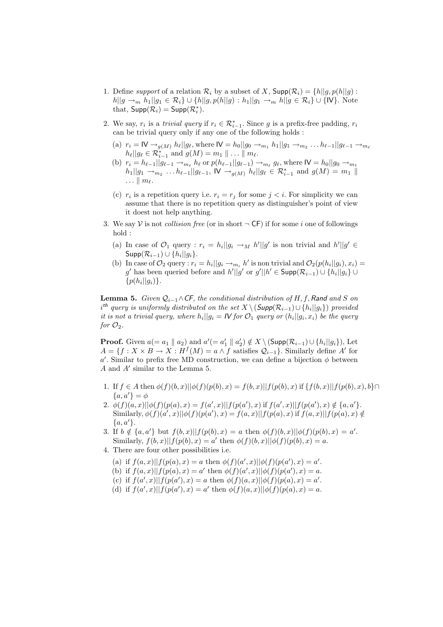- 1. Define support of a relation  $\mathcal{R}_i$  by a subset of X,  $\text{Supp}(\mathcal{R}_i) = \{h | |g, p(h||g):$  $|h||g \to_m h_1||g_1 \in \mathcal{R}_i$  ∪  $\{h||g, p(h||g) : h_1||g_1 \to_m h||g \in \mathcal{R}_i$  ∪  $\{W\}$ . Note that,  $\mathsf{Supp}(\mathcal{R}_i) = \mathsf{Supp}(\mathcal{R}_i^*)$ .
- 2. We say,  $r_i$  is a *trivial query* if  $r_i \in \mathcal{R}_{i-1}^*$ . Since g is a prefix-free padding,  $r_i$ can be trivial query only if any one of the following holds :
	- (a)  $r_i = \mathsf{IV} \to_{g(M)} h_\ell || g_\ell$ , where  $\mathsf{IV} = h_0 || g_0 \to_{m_1} h_1 || g_1 \to_{m_2} \ldots h_{\ell-1} || g_{\ell-1} \to_{m_\ell}$  $h_{\ell}||g_{\ell} \in \mathcal{R}_{i-1}^{*}$  and  $g(M) = m_1 || \ldots || m_{\ell}$ .
	- (b)  $r_i = h_{\ell-1}||g_{\ell-1} \to_{m_\ell} h_\ell$  or  $p(h_{\ell-1}||g_{\ell-1}) \to_{m_\ell} g_\ell$ , where  $\mathsf{IV} = h_0||g_0 \to_{m_1} h_\ell$  $h_1||g_1 \to_{m_2} \ldots h_{\ell-1}||g_{\ell-1}, \, \mathsf{IV} \to_{g(M)} h_{\ell}||g_{\ell} \in \mathcal{R}_{i-1}^*$  and  $g(M) = m_1 \parallel$  $\ldots \parallel m_\ell.$
	- (c)  $r_i$  is a repetition query i.e.  $r_i = r_j$  for some  $j < i$ . For simplicity we can assume that there is no repetition query as distinguisher's point of view it doest not help anything.
- 3. We say V is not *collision free* (or in short  $\neg$  CF) if for some *i* one of followings hold :
	- (a) In case of  $\mathcal{O}_1$  query :  $r_i = h_i ||g_i \rightarrow_M h'||g'$  is non trivial and  $h'||g' \in$  $\mathsf{Supp}(\mathcal{R}_{i-1})\cup\{h_i||g_i\}.$
	- (b) In case of  $\mathcal{O}_2$  query :  $r_i = h_i || g_i \rightarrow_{m_i} h'$  is non trivial and  $\mathcal{O}_2(p(h_i || g_i), x_i) =$ g' has been queried before and  $h'||g'$  or  $g'||h' \in \text{Supp}(\mathcal{R}_{i-1}) \cup \{h_i||g_i\} \cup$  $\{p(h_i||g_i)\}.$

**Lemma 5.** Given  $Q_{i-1} \wedge CF$ , the conditional distribution of H, f, Rand and S on  $i<sup>th</sup>$  query is uniformly distributed on the set  $X \setminus (Supp(\mathcal{R}_{i-1}) \cup \{h_i||g_i\})$  provided it is not a trivial query, where  $h_i||g_i = \mathcal{W}$  for  $\mathcal{O}_1$  query or  $(h_i||g_i, x_i)$  be the query for  $\mathcal{O}_2$ .

**Proof.** Given  $a (= a_1 \parallel a_2)$  and  $a' (= a'_1 \parallel a'_2) \notin X \setminus (\text{Supp}(\mathcal{R}_{i-1}) \cup \{h_i | [g_i\}), \text{Let}$  $A = \{f: X \times B \to X : H^f(M) = a \wedge f \text{ satisfies } \mathcal{Q}_{i-1}\}.$  Similarly define A' for a'. Similar to prefix free MD construction, we can define a bijection  $\phi$  between  $A$  and  $A'$  similar to the Lemma 5.

- 1. If  $f \in A$  then  $\phi(f)(b, x)||\phi(f)(p(b), x) = f(b, x)||f(p(b), x)$  if  $\{f(b, x)||f(p(b), x), b\} \cap$  ${a, a'} = \phi$
- 2.  $\phi(f)(a,x)||\phi(f)(p(a),x) = f(a',x)||f(p(a'),x)$  if  $f(a',x)||f(p(a'),x) \notin \{a,a'\}.$ Similarly,  $\phi(f)(a', x)||\phi(f)(p(a'), x) = f(a, x)||f(p(a), x)$  if  $f(a, x)||f(p(a), x) \notin$  ${a, a'}.$
- 3. If  $b \notin \{a, a'\}$  but  $f(b, x)||f(p(b), x) = a$  then  $\phi(f)(b, x)||\phi(f)(p(b), x) = a'$ . Similarly,  $f(b, x)||f(p(b), x) = a'$  then  $\phi(f)(b, x)||\phi(f)(p(b), x) = a$ .
- 4. There are four other possibilities i.e.
	- (a) if  $f(a,x)||f(p(a),x) = a$  then  $\phi(f)(a',x)||\phi(f)(p(a'),x) = a'$ .
	- (b) if  $f(a,x)||f(p(a),x) = a'$  then  $\phi(f)(a',x)||\phi(f)(p(a'),x) = a$ .
	- (c) if  $f(a',x)||f(p(a'),x) = a$  then  $\phi(f)(a,x)||\phi(f)(p(a),x) = a'$ .
	- (d) if  $f(a',x)||f(p(a'),x) = a'$  then  $\phi(f)(a,x)||\phi(f)(p(a),x) = a$ .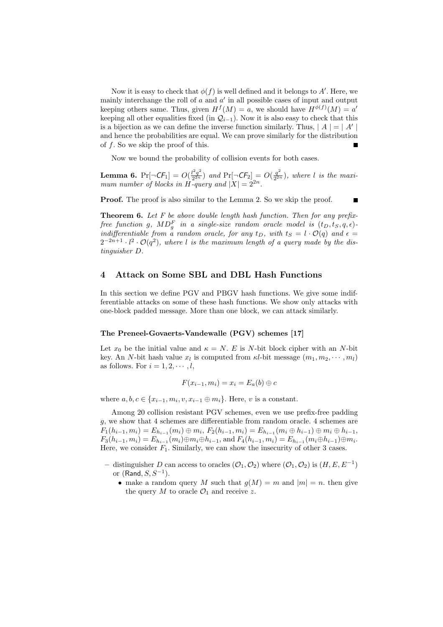Now it is easy to check that  $\phi(f)$  is well defined and it belongs to A'. Here, we mainly interchange the roll of  $a$  and  $a'$  in all possible cases of input and output keeping others same. Thus, given  $H^f(M) = a$ , we should have  $H^{\phi(f)}(M) = a'$ keeping all other equalities fixed (in  $\mathcal{Q}_{i-1}$ ). Now it is also easy to check that this is a bijection as we can define the inverse function similarly. Thus,  $|A| = |A'|$ and hence the probabilities are equal. We can prove similarly for the distribution of  $f$ . So we skip the proof of this. п

Now we bound the probability of collision events for both cases.

**Lemma 6.**  $Pr[\neg \mathsf{CF}_1] = O(\frac{l^2q^2}{2^{2n}})$  $\frac{d^2q^2}{2^{2n}}$ ) and Pr[ $\neg$ CF<sub>2</sub>] = O( $\frac{q^2}{2^{2n}}$  $\frac{q^2}{2^{2n}}$ ), where l is the maximum number of blocks in H-query and  $|X| = 2^{2n}$ .

**Proof.** The proof is also similar to the Lemma 2. So we skip the proof. П

**Theorem 6.** Let  $F$  be above double length hash function. Then for any prefixfree function g,  $MD_g^F$  in a single-size random oracle model is  $(t_D, t_S, q, \epsilon)$ indifferentiable from  $\alpha$  random oracle, for any  $t_D$ , with  $t_S = l \cdot \mathcal{O}(q)$  and  $\epsilon =$  $2^{-2n+1} \cdot l^2 \cdot \mathcal{O}(q^2)$ , where l is the maximum length of a query made by the distinguisher D.

## 4 Attack on Some SBL and DBL Hash Functions

In this section we define PGV and PBGV hash functions. We give some indifferentiable attacks on some of these hash functions. We show only attacks with one-block padded message. More than one block, we can attack similarly.

#### The Preneel-Govaerts-Vandewalle (PGV) schemes [17]

Let  $x_0$  be the initial value and  $\kappa = N$ . E is N-bit block cipher with an N-bit key. An N-bit hash value  $x_l$  is computed from  $\kappa l$ -bit message  $(m_1, m_2, \dots, m_l)$ as follows. For  $i = 1, 2, \dots, l$ ,

$$
F(x_{i-1}, m_i) = x_i = E_a(b) \oplus c
$$

where  $a, b, c \in \{x_{i-1}, m_i, v, x_{i-1} \oplus m_i\}$ . Here, v is a constant.

Among 20 collision resistant PGV schemes, even we use prefix-free padding g, we show that 4 schemes are differentiable from random oracle. 4 schemes are  $F_1(h_{i-1}, m_i) = E_{h_{i-1}}(m_i) \oplus m_i, F_2(h_{i-1}, m_i) = E_{h_{i-1}}(m_i \oplus h_{i-1}) \oplus m_i \oplus h_{i-1},$  $F_3(h_{i-1}, m_i) = E_{h_{i-1}}(m_i) \oplus m_i \oplus h_{i-1}$ , and  $F_4(h_{i-1}, m_i) = E_{h_{i-1}}(m_i \oplus h_{i-1}) \oplus m_i$ . Here, we consider  $F_1$ . Similarly, we can show the insecurity of other 3 cases.

- − distinguisher D can access to oracles  $(\mathcal{O}_1, \mathcal{O}_2)$  where  $(\mathcal{O}_1, \mathcal{O}_2)$  is  $(H, E, E^{-1})$ or  $(Rand, S, S^{-1})$ .
	- make a random query M such that  $q(M) = m$  and  $|m| = n$ , then give the query M to oracle  $\mathcal{O}_1$  and receive z.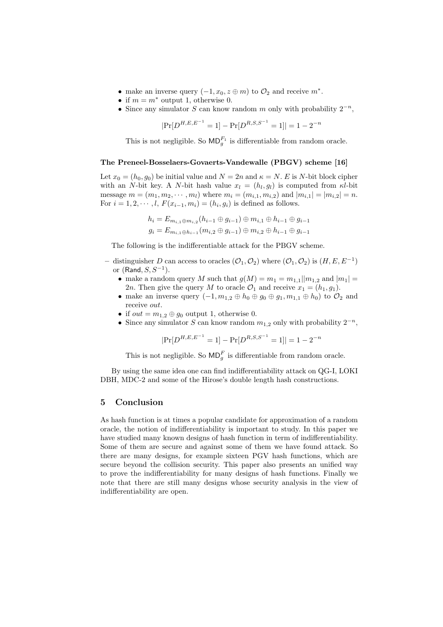- make an inverse query  $(-1, x_0, z \oplus m)$  to  $\mathcal{O}_2$  and receive  $m^*$ .
- if  $m = m^*$  output 1, otherwise 0.
- Since any simulator S can know random m only with probability  $2^{-n}$ ,

$$
|\Pr[D^{H,E,E^{-1}}=1]-\Pr[D^{R,S,S^{-1}}=1]|=1-2^{-n}
$$

This is not negligible. So  $MD_g^{F_1}$  is differentiable from random oracle.

#### The Preneel-Bosselaers-Govaerts-Vandewalle (PBGV) scheme [16]

Let  $x_0 = (h_0, g_0)$  be initial value and  $N = 2n$  and  $\kappa = N$ . E is N-bit block cipher with an N-bit key. A N-bit hash value  $x_l = (h_l, g_l)$  is computed from  $\kappa l$ -bit message  $m = (m_1, m_2, \dots, m_l)$  where  $m_i = (m_{i,1}, m_{i,2})$  and  $|m_{i,1}| = |m_{i,2}| = n$ . For  $i = 1, 2, \dots, l$ ,  $F(x_{i-1}, m_i) = (h_i, g_i)$  is defined as follows.

$$
h_i = E_{m_{i,1} \oplus m_{i,2}}(h_{i-1} \oplus g_{i-1}) \oplus m_{i,1} \oplus h_{i-1} \oplus g_{i-1}
$$
  

$$
g_i = E_{m_{i,1} \oplus h_{i-1}}(m_{i,2} \oplus g_{i-1}) \oplus m_{i,2} \oplus h_{i-1} \oplus g_{i-1}
$$

The following is the indifferentiable attack for the PBGV scheme.

- − distinguisher D can access to oracles  $(\mathcal{O}_1, \mathcal{O}_2)$  where  $(\mathcal{O}_1, \mathcal{O}_2)$  is  $(H, E, E^{-1})$ or  $(Rand, S, S^{-1}).$ 
	- make a random query M such that  $g(M) = m_1 = m_{1,1}||m_{1,2}$  and  $|m_1| =$ 2n. Then give the query M to oracle  $\mathcal{O}_1$  and receive  $x_1 = (h_1, g_1)$ .
	- make an inverse query  $(-1, m_{1,2} \oplus h_0 \oplus g_0 \oplus g_1, m_{1,1} \oplus h_0)$  to  $\mathcal{O}_2$  and receive out.
	- if  $out = m_{1,2} \oplus g_0$  output 1, otherwise 0.
	- Since any simulator S can know random  $m_1$ <sub>2</sub> only with probability  $2^{-n}$ ,

 $|\Pr[D^{H,E,E^{-1}}=1]-\Pr[D^{R,S,S^{-1}}=1]|=1-2^{-n}$ 

This is not negligible. So  $MD<sub>g</sub><sup>F</sup>$  is differentiable from random oracle.

By using the same idea one can find indifferentiability attack on QG-I, LOKI DBH, MDC-2 and some of the Hirose's double length hash constructions.

# 5 Conclusion

As hash function is at times a popular candidate for approximation of a random oracle, the notion of indifferentiability is important to study. In this paper we have studied many known designs of hash function in term of indifferentiability. Some of them are secure and against some of them we have found attack. So there are many designs, for example sixteen PGV hash functions, which are secure beyond the collision security. This paper also presents an unified way to prove the indifferentiability for many designs of hash functions. Finally we note that there are still many designs whose security analysis in the view of indifferentiability are open.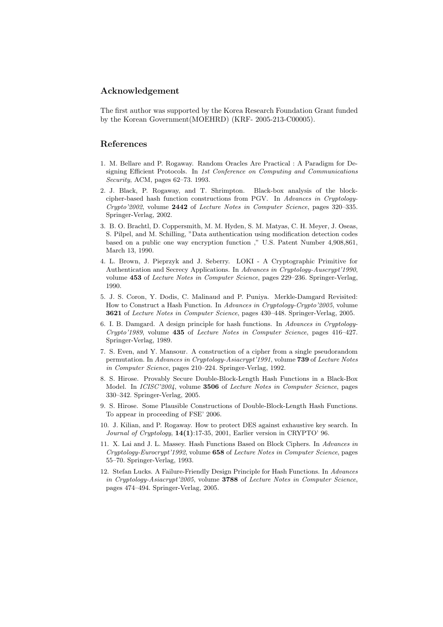## Acknowledgement

The first author was supported by the Korea Research Foundation Grant funded by the Korean Government(MOEHRD) (KRF- 2005-213-C00005).

## References

- 1. M. Bellare and P. Rogaway. Random Oracles Are Practical : A Paradigm for Designing Efficient Protocols. In 1st Conference on Computing and Communications Security, ACM, pages 62–73. 1993.
- 2. J. Black, P. Rogaway, and T. Shrimpton. Black-box analysis of the blockcipher-based hash function constructions from PGV. In Advances in Cryptology-Crypto'2002, volume 2442 of Lecture Notes in Computer Science, pages 320–335. Springer-Verlag, 2002.
- 3. B. O. Brachtl, D. Coppersmith, M. M. Hyden, S. M. Matyas, C. H. Meyer, J. Oseas, S. Pilpel, and M. Schilling, "Data authentication using modification detection codes based on a public one way encryption function ," U.S. Patent Number 4,908,861, March 13, 1990.
- 4. L. Brown, J. Pieprzyk and J. Seberry. LOKI A Cryptographic Primitive for Authentication and Secrecy Applications. In Advances in Cryptology-Auscrypt'1990, volume 453 of Lecture Notes in Computer Science, pages 229–236. Springer-Verlag, 1990.
- 5. J. S. Coron, Y. Dodis, C. Malinaud and P. Puniya. Merkle-Damgard Revisited: How to Construct a Hash Function. In Advances in Cryptology-Crypto'2005, volume 3621 of Lecture Notes in Computer Science, pages 430–448. Springer-Verlag, 2005.
- 6. I. B. Damgard. A design principle for hash functions. In Advances in Cryptology-Crypto'1989, volume 435 of Lecture Notes in Computer Science, pages 416–427. Springer-Verlag, 1989.
- 7. S. Even, and Y. Mansour. A construction of a cipher from a single pseudorandom permutation. In Advances in Cryptology-Asiacrypt'1991, volume 739 of Lecture Notes in Computer Science, pages 210–224. Springer-Verlag, 1992.
- 8. S. Hirose. Provably Secure Double-Block-Length Hash Functions in a Black-Box Model. In ICISC'2004, volume 3506 of Lecture Notes in Computer Science, pages 330–342. Springer-Verlag, 2005.
- 9. S. Hirose. Some Plausible Constructions of Double-Block-Length Hash Functions. To appear in proceeding of FSE' 2006.
- 10. J. Kilian, and P. Rogaway. How to protect DES against exhaustive key search. In Journal of Cryptology, 14(1):17-35, 2001, Earlier version in CRYPTO' 96.
- 11. X. Lai and J. L. Massey. Hash Functions Based on Block Ciphers. In Advances in Cryptology-Eurocrypt'1992, volume 658 of Lecture Notes in Computer Science, pages 55–70. Springer-Verlag, 1993.
- 12. Stefan Lucks. A Failure-Friendly Design Principle for Hash Functions. In Advances in Cryptology-Asiacrypt'2005, volume 3788 of Lecture Notes in Computer Science, pages 474–494. Springer-Verlag, 2005.